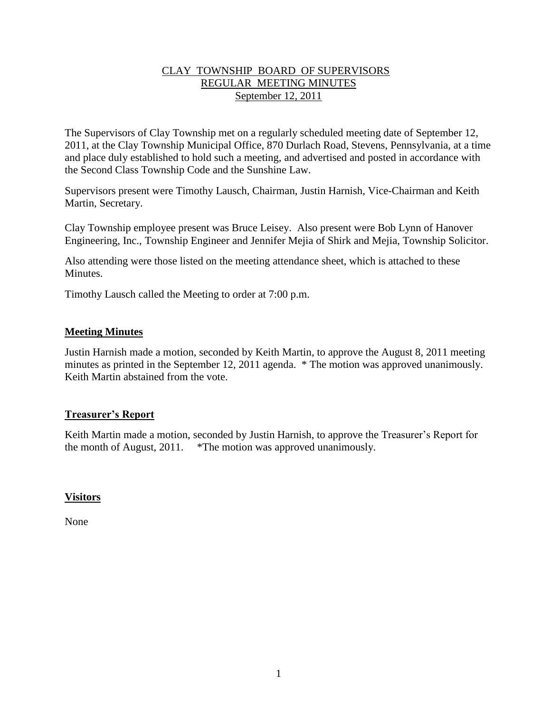## CLAY TOWNSHIP BOARD OF SUPERVISORS REGULAR MEETING MINUTES September 12, 2011

The Supervisors of Clay Township met on a regularly scheduled meeting date of September 12, 2011, at the Clay Township Municipal Office, 870 Durlach Road, Stevens, Pennsylvania, at a time and place duly established to hold such a meeting, and advertised and posted in accordance with the Second Class Township Code and the Sunshine Law.

Supervisors present were Timothy Lausch, Chairman, Justin Harnish, Vice-Chairman and Keith Martin, Secretary.

Clay Township employee present was Bruce Leisey. Also present were Bob Lynn of Hanover Engineering, Inc., Township Engineer and Jennifer Mejia of Shirk and Mejia, Township Solicitor.

Also attending were those listed on the meeting attendance sheet, which is attached to these Minutes.

Timothy Lausch called the Meeting to order at 7:00 p.m.

### **Meeting Minutes**

Justin Harnish made a motion, seconded by Keith Martin, to approve the August 8, 2011 meeting minutes as printed in the September 12, 2011 agenda. \* The motion was approved unanimously. Keith Martin abstained from the vote.

## **Treasurer's Report**

Keith Martin made a motion, seconded by Justin Harnish, to approve the Treasurer's Report for the month of August, 2011. \*The motion was approved unanimously.

#### **Visitors**

None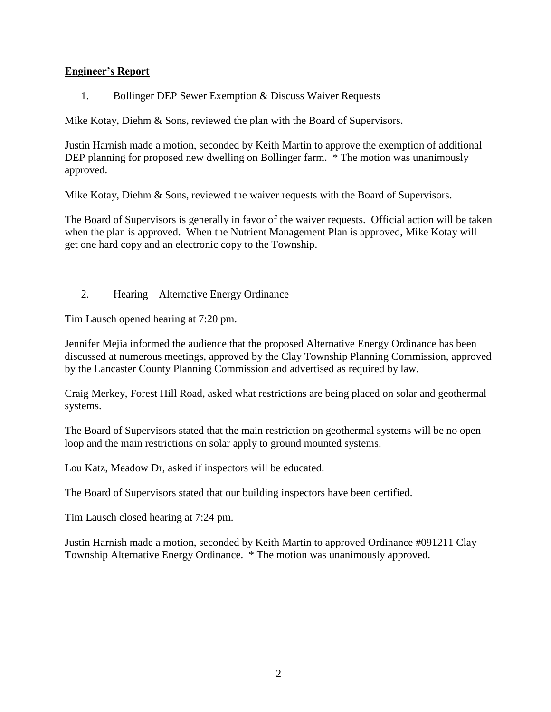## **Engineer's Report**

1. Bollinger DEP Sewer Exemption & Discuss Waiver Requests

Mike Kotay, Diehm & Sons, reviewed the plan with the Board of Supervisors.

Justin Harnish made a motion, seconded by Keith Martin to approve the exemption of additional DEP planning for proposed new dwelling on Bollinger farm.  $*$  The motion was unanimously approved.

Mike Kotay, Diehm & Sons, reviewed the waiver requests with the Board of Supervisors.

The Board of Supervisors is generally in favor of the waiver requests. Official action will be taken when the plan is approved. When the Nutrient Management Plan is approved, Mike Kotay will get one hard copy and an electronic copy to the Township.

2. Hearing – Alternative Energy Ordinance

Tim Lausch opened hearing at 7:20 pm.

Jennifer Mejia informed the audience that the proposed Alternative Energy Ordinance has been discussed at numerous meetings, approved by the Clay Township Planning Commission, approved by the Lancaster County Planning Commission and advertised as required by law.

Craig Merkey, Forest Hill Road, asked what restrictions are being placed on solar and geothermal systems.

The Board of Supervisors stated that the main restriction on geothermal systems will be no open loop and the main restrictions on solar apply to ground mounted systems.

Lou Katz, Meadow Dr, asked if inspectors will be educated.

The Board of Supervisors stated that our building inspectors have been certified.

Tim Lausch closed hearing at 7:24 pm.

Justin Harnish made a motion, seconded by Keith Martin to approved Ordinance #091211 Clay Township Alternative Energy Ordinance. \* The motion was unanimously approved.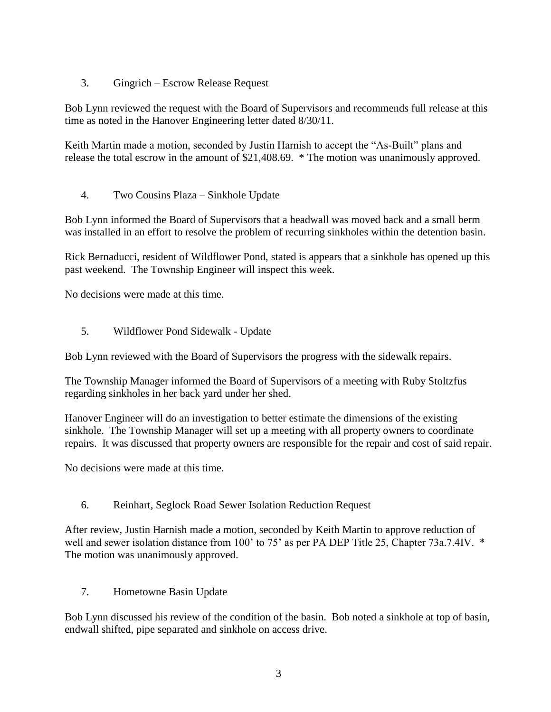3. Gingrich – Escrow Release Request

Bob Lynn reviewed the request with the Board of Supervisors and recommends full release at this time as noted in the Hanover Engineering letter dated 8/30/11.

Keith Martin made a motion, seconded by Justin Harnish to accept the "As-Built" plans and release the total escrow in the amount of \$21,408.69. \* The motion was unanimously approved.

4. Two Cousins Plaza – Sinkhole Update

Bob Lynn informed the Board of Supervisors that a headwall was moved back and a small berm was installed in an effort to resolve the problem of recurring sinkholes within the detention basin.

Rick Bernaducci, resident of Wildflower Pond, stated is appears that a sinkhole has opened up this past weekend. The Township Engineer will inspect this week.

No decisions were made at this time.

5. Wildflower Pond Sidewalk - Update

Bob Lynn reviewed with the Board of Supervisors the progress with the sidewalk repairs.

The Township Manager informed the Board of Supervisors of a meeting with Ruby Stoltzfus regarding sinkholes in her back yard under her shed.

Hanover Engineer will do an investigation to better estimate the dimensions of the existing sinkhole. The Township Manager will set up a meeting with all property owners to coordinate repairs. It was discussed that property owners are responsible for the repair and cost of said repair.

No decisions were made at this time.

6. Reinhart, Seglock Road Sewer Isolation Reduction Request

After review, Justin Harnish made a motion, seconded by Keith Martin to approve reduction of well and sewer isolation distance from 100' to 75' as per PA DEP Title 25, Chapter 73a.7.4IV. \* The motion was unanimously approved.

7. Hometowne Basin Update

Bob Lynn discussed his review of the condition of the basin. Bob noted a sinkhole at top of basin, endwall shifted, pipe separated and sinkhole on access drive.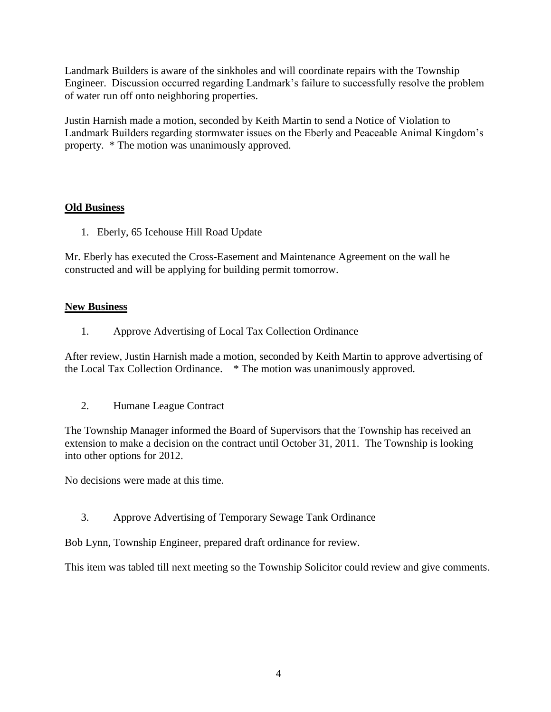Landmark Builders is aware of the sinkholes and will coordinate repairs with the Township Engineer. Discussion occurred regarding Landmark's failure to successfully resolve the problem of water run off onto neighboring properties.

Justin Harnish made a motion, seconded by Keith Martin to send a Notice of Violation to Landmark Builders regarding stormwater issues on the Eberly and Peaceable Animal Kingdom's property. \* The motion was unanimously approved.

## **Old Business**

1. Eberly, 65 Icehouse Hill Road Update

Mr. Eberly has executed the Cross-Easement and Maintenance Agreement on the wall he constructed and will be applying for building permit tomorrow.

## **New Business**

1. Approve Advertising of Local Tax Collection Ordinance

After review, Justin Harnish made a motion, seconded by Keith Martin to approve advertising of the Local Tax Collection Ordinance. \* The motion was unanimously approved.

2. Humane League Contract

The Township Manager informed the Board of Supervisors that the Township has received an extension to make a decision on the contract until October 31, 2011. The Township is looking into other options for 2012.

No decisions were made at this time.

3. Approve Advertising of Temporary Sewage Tank Ordinance

Bob Lynn, Township Engineer, prepared draft ordinance for review.

This item was tabled till next meeting so the Township Solicitor could review and give comments.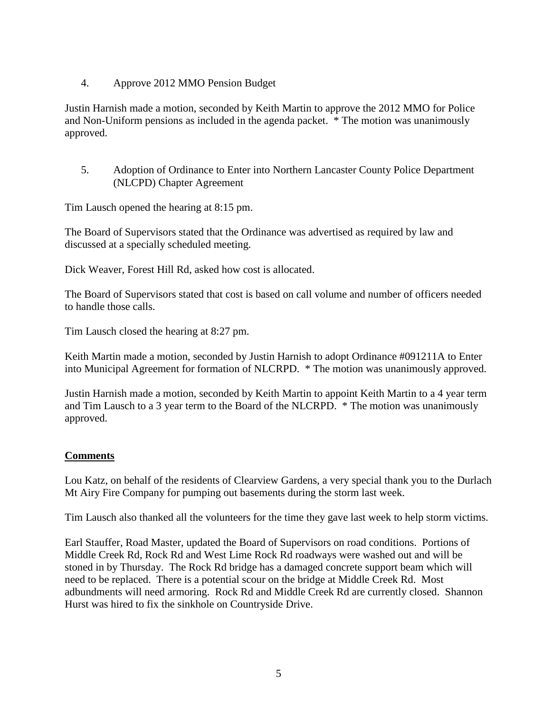4. Approve 2012 MMO Pension Budget

Justin Harnish made a motion, seconded by Keith Martin to approve the 2012 MMO for Police and Non-Uniform pensions as included in the agenda packet. \* The motion was unanimously approved.

5. Adoption of Ordinance to Enter into Northern Lancaster County Police Department (NLCPD) Chapter Agreement

Tim Lausch opened the hearing at 8:15 pm.

The Board of Supervisors stated that the Ordinance was advertised as required by law and discussed at a specially scheduled meeting.

Dick Weaver, Forest Hill Rd, asked how cost is allocated.

The Board of Supervisors stated that cost is based on call volume and number of officers needed to handle those calls.

Tim Lausch closed the hearing at 8:27 pm.

Keith Martin made a motion, seconded by Justin Harnish to adopt Ordinance #091211A to Enter into Municipal Agreement for formation of NLCRPD. \* The motion was unanimously approved.

Justin Harnish made a motion, seconded by Keith Martin to appoint Keith Martin to a 4 year term and Tim Lausch to a 3 year term to the Board of the NLCRPD. \* The motion was unanimously approved.

## **Comments**

Lou Katz, on behalf of the residents of Clearview Gardens, a very special thank you to the Durlach Mt Airy Fire Company for pumping out basements during the storm last week.

Tim Lausch also thanked all the volunteers for the time they gave last week to help storm victims.

Earl Stauffer, Road Master, updated the Board of Supervisors on road conditions. Portions of Middle Creek Rd, Rock Rd and West Lime Rock Rd roadways were washed out and will be stoned in by Thursday. The Rock Rd bridge has a damaged concrete support beam which will need to be replaced. There is a potential scour on the bridge at Middle Creek Rd. Most adbundments will need armoring. Rock Rd and Middle Creek Rd are currently closed. Shannon Hurst was hired to fix the sinkhole on Countryside Drive.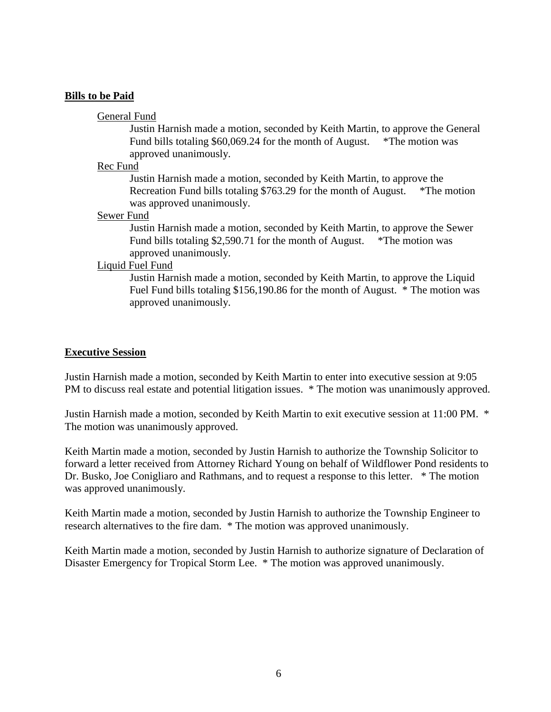#### **Bills to be Paid**

#### General Fund

Justin Harnish made a motion, seconded by Keith Martin, to approve the General Fund bills totaling \$60,069.24 for the month of August. \*The motion was approved unanimously.

#### Rec Fund

Justin Harnish made a motion, seconded by Keith Martin, to approve the Recreation Fund bills totaling \$763.29 for the month of August. \*The motion was approved unanimously.

#### Sewer Fund

Justin Harnish made a motion, seconded by Keith Martin, to approve the Sewer Fund bills totaling \$2,590.71 for the month of August. \*The motion was approved unanimously.

#### Liquid Fuel Fund

Justin Harnish made a motion, seconded by Keith Martin, to approve the Liquid Fuel Fund bills totaling \$156,190.86 for the month of August. \* The motion was approved unanimously.

#### **Executive Session**

Justin Harnish made a motion, seconded by Keith Martin to enter into executive session at 9:05 PM to discuss real estate and potential litigation issues. \* The motion was unanimously approved.

Justin Harnish made a motion, seconded by Keith Martin to exit executive session at 11:00 PM. \* The motion was unanimously approved.

Keith Martin made a motion, seconded by Justin Harnish to authorize the Township Solicitor to forward a letter received from Attorney Richard Young on behalf of Wildflower Pond residents to Dr. Busko, Joe Conigliaro and Rathmans, and to request a response to this letter. \* The motion was approved unanimously.

Keith Martin made a motion, seconded by Justin Harnish to authorize the Township Engineer to research alternatives to the fire dam. \* The motion was approved unanimously.

Keith Martin made a motion, seconded by Justin Harnish to authorize signature of Declaration of Disaster Emergency for Tropical Storm Lee. \* The motion was approved unanimously.